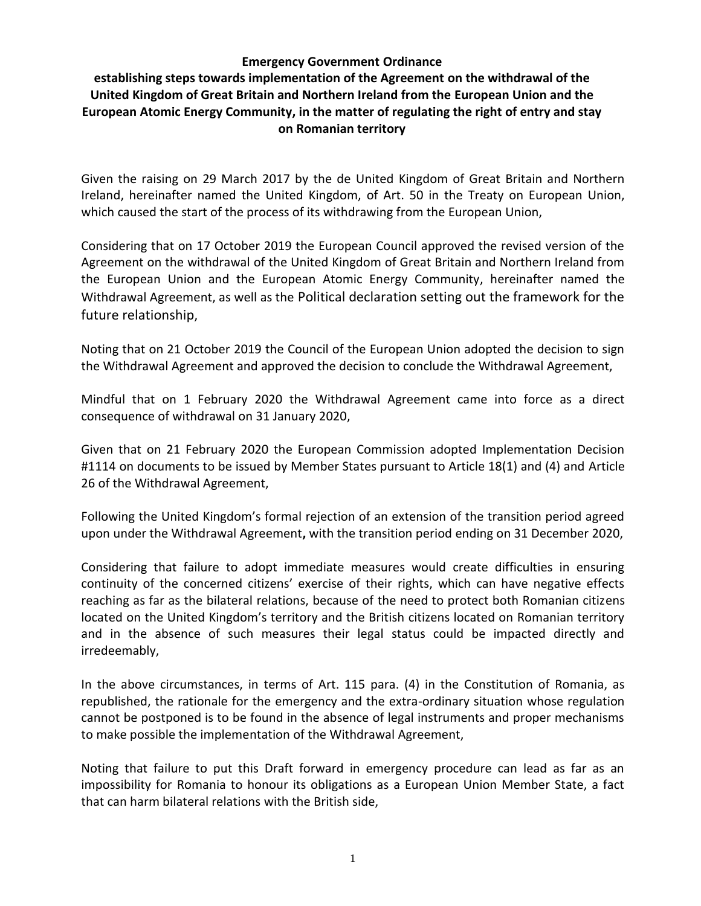#### **Emergency Government Ordinance**

# **establishing steps towards implementation of the Agreement on the withdrawal of the United Kingdom of Great Britain and Northern Ireland from the European Union and the European Atomic Energy Community, in the matter of regulating the right of entry and stay on Romanian territory**

Given the raising on 29 March 2017 by the de United Kingdom of Great Britain and Northern Ireland, hereinafter named the United Kingdom, of Art. 50 in the Treaty on European Union, which caused the start of the process of its withdrawing from the European Union,

Considering that on 17 October 2019 the European Council approved the revised version of the Agreement on the withdrawal of the United Kingdom of Great Britain and Northern Ireland from the European Union and the European Atomic Energy Community, hereinafter named the Withdrawal Agreement, as well as the Political declaration setting out the framework for the future relationship,

Noting that on 21 October 2019 the Council of the European Union adopted the decision to sign the Withdrawal Agreement and approved the decision to conclude the Withdrawal Agreement,

Mindful that on 1 February 2020 the Withdrawal Agreement came into force as a direct consequence of withdrawal on 31 January 2020,

Given that on 21 February 2020 the European Commission adopted Implementation Decision #1114 on documents to be issued by Member States pursuant to Article 18(1) and (4) and Article 26 of the Withdrawal Agreement,

Following the United Kingdom's formal rejection of an extension of the transition period agreed upon under the Withdrawal Agreement**,** with the transition period ending on 31 December 2020,

Considering that failure to adopt immediate measures would create difficulties in ensuring continuity of the concerned citizens' exercise of their rights, which can have negative effects reaching as far as the bilateral relations, because of the need to protect both Romanian citizens located on the United Kingdom's territory and the British citizens located on Romanian territory and in the absence of such measures their legal status could be impacted directly and irredeemably,

In the above circumstances, in terms of Art. 115 para. (4) in the Constitution of Romania, as republished, the rationale for the emergency and the extra-ordinary situation whose regulation cannot be postponed is to be found in the absence of legal instruments and proper mechanisms to make possible the implementation of the Withdrawal Agreement,

Noting that failure to put this Draft forward in emergency procedure can lead as far as an impossibility for Romania to honour its obligations as a European Union Member State, a fact that can harm bilateral relations with the British side,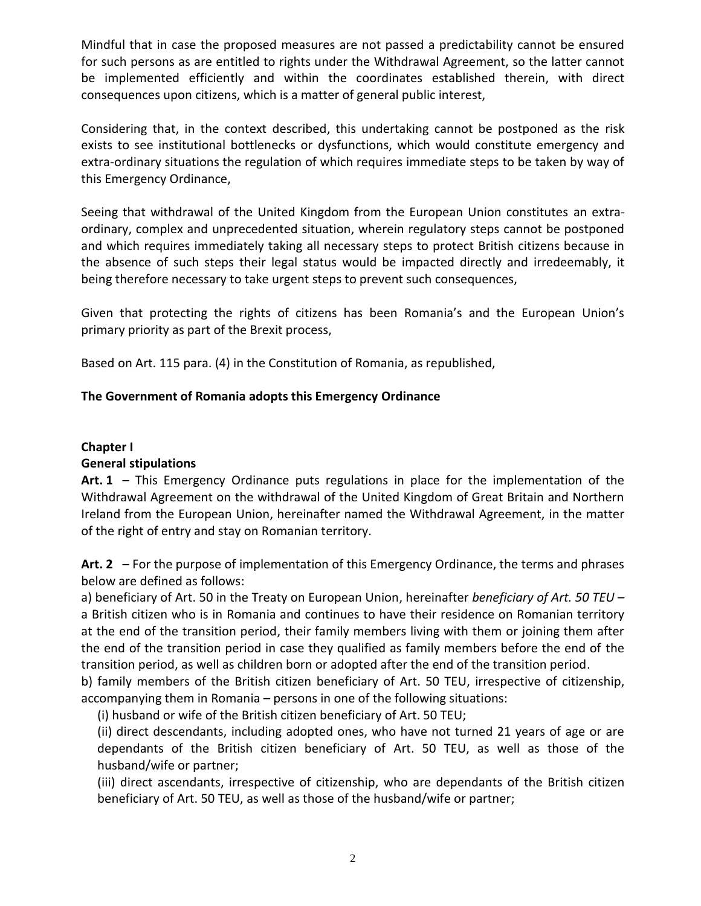Mindful that in case the proposed measures are not passed a predictability cannot be ensured for such persons as are entitled to rights under the Withdrawal Agreement, so the latter cannot be implemented efficiently and within the coordinates established therein, with direct consequences upon citizens, which is a matter of general public interest,

Considering that, in the context described, this undertaking cannot be postponed as the risk exists to see institutional bottlenecks or dysfunctions, which would constitute emergency and extra-ordinary situations the regulation of which requires immediate steps to be taken by way of this Emergency Ordinance,

Seeing that withdrawal of the United Kingdom from the European Union constitutes an extraordinary, complex and unprecedented situation, wherein regulatory steps cannot be postponed and which requires immediately taking all necessary steps to protect British citizens because in the absence of such steps their legal status would be impacted directly and irredeemably, it being therefore necessary to take urgent steps to prevent such consequences,

Given that protecting the rights of citizens has been Romania's and the European Union's primary priority as part of the Brexit process,

Based on Art. 115 para. (4) in the Constitution of Romania, as republished,

#### **The Government of Romania adopts this Emergency Ordinance**

#### **Chapter I**

#### **General stipulations**

**Art. 1** – This Emergency Ordinance puts regulations in place for the implementation of the Withdrawal Agreement on the withdrawal of the United Kingdom of Great Britain and Northern Ireland from the European Union, hereinafter named the Withdrawal Agreement, in the matter of the right of entry and stay on Romanian territory.

**Art. 2** – For the purpose of implementation of this Emergency Ordinance, the terms and phrases below are defined as follows:

a) beneficiary of Art. 50 in the Treaty on European Union, hereinafter *beneficiary of Art. 50 TEU* – a British citizen who is in Romania and continues to have their residence on Romanian territory at the end of the transition period, their family members living with them or joining them after the end of the transition period in case they qualified as family members before the end of the transition period, as well as children born or adopted after the end of the transition period.

b) family members of the British citizen beneficiary of Art. 50 TEU, irrespective of citizenship, accompanying them in Romania – persons in one of the following situations:

(i) husband or wife of the British citizen beneficiary of Art. 50 TEU;

(ii) direct descendants, including adopted ones, who have not turned 21 years of age or are dependants of the British citizen beneficiary of Art. 50 TEU, as well as those of the husband/wife or partner;

(iii) direct ascendants, irrespective of citizenship, who are dependants of the British citizen beneficiary of Art. 50 TEU, as well as those of the husband/wife or partner;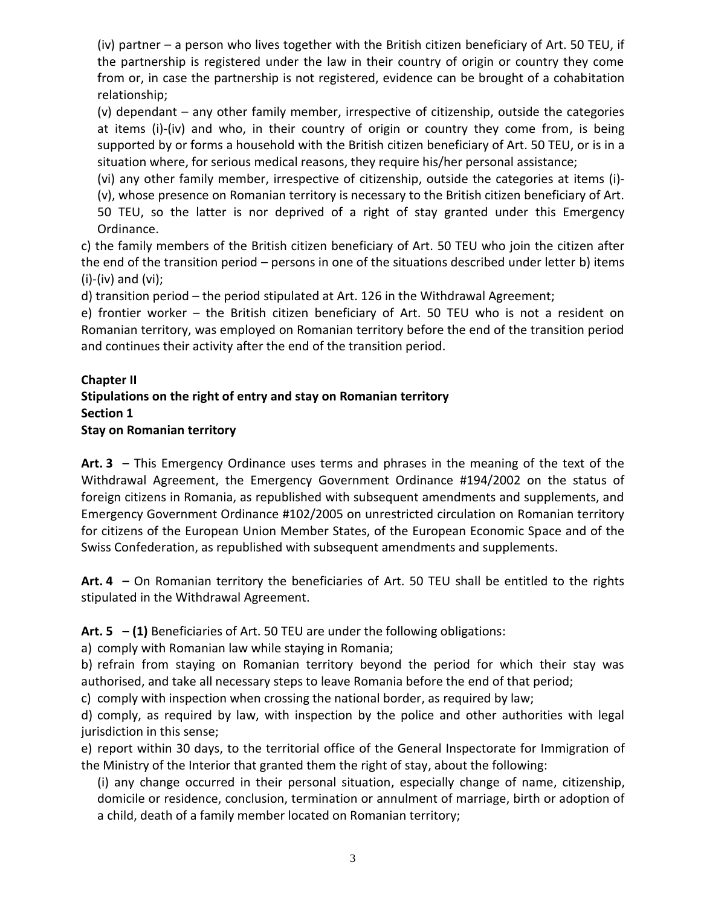(iv) partner – a person who lives together with the British citizen beneficiary of Art. 50 TEU, if the partnership is registered under the law in their country of origin or country they come from or, in case the partnership is not registered, evidence can be brought of a cohabitation relationship;

(v) dependant – any other family member, irrespective of citizenship, outside the categories at items (i)-(iv) and who, in their country of origin or country they come from, is being supported by or forms a household with the British citizen beneficiary of Art. 50 TEU, or is in a situation where, for serious medical reasons, they require his/her personal assistance;

(vi) any other family member, irrespective of citizenship, outside the categories at items (i)-

(v), whose presence on Romanian territory is necessary to the British citizen beneficiary of Art. 50 TEU, so the latter is nor deprived of a right of stay granted under this Emergency Ordinance.

c) the family members of the British citizen beneficiary of Art. 50 TEU who join the citizen after the end of the transition period – persons in one of the situations described under letter b) items (i)-(iv) and (vi);

d) transition period – the period stipulated at Art. 126 in the Withdrawal Agreement;

e) frontier worker – the British citizen beneficiary of Art. 50 TEU who is not a resident on Romanian territory, was employed on Romanian territory before the end of the transition period and continues their activity after the end of the transition period.

### **Chapter II Stipulations on the right of entry and stay on Romanian territory Section 1 Stay on Romanian territory**

**Art. 3** – This Emergency Ordinance uses terms and phrases in the meaning of the text of the Withdrawal Agreement, the Emergency Government Ordinance #194/2002 on the status of foreign citizens in Romania, as republished with subsequent amendments and supplements, and Emergency Government Ordinance #102/2005 on unrestricted circulation on Romanian territory for citizens of the European Union Member States, of the European Economic Space and of the Swiss Confederation, as republished with subsequent amendments and supplements.

**Art. 4 –** On Romanian territory the beneficiaries of Art. 50 TEU shall be entitled to the rights stipulated in the Withdrawal Agreement.

**Art. 5** – **(1)** Beneficiaries of Art. 50 TEU are under the following obligations:

a) comply with Romanian law while staying in Romania;

b) refrain from staying on Romanian territory beyond the period for which their stay was authorised, and take all necessary steps to leave Romania before the end of that period;

c) comply with inspection when crossing the national border, as required by law;

d) comply, as required by law, with inspection by the police and other authorities with legal jurisdiction in this sense;

e) report within 30 days, to the territorial office of the General Inspectorate for Immigration of the Ministry of the Interior that granted them the right of stay, about the following:

(i) any change occurred in their personal situation, especially change of name, citizenship, domicile or residence, conclusion, termination or annulment of marriage, birth or adoption of a child, death of a family member located on Romanian territory;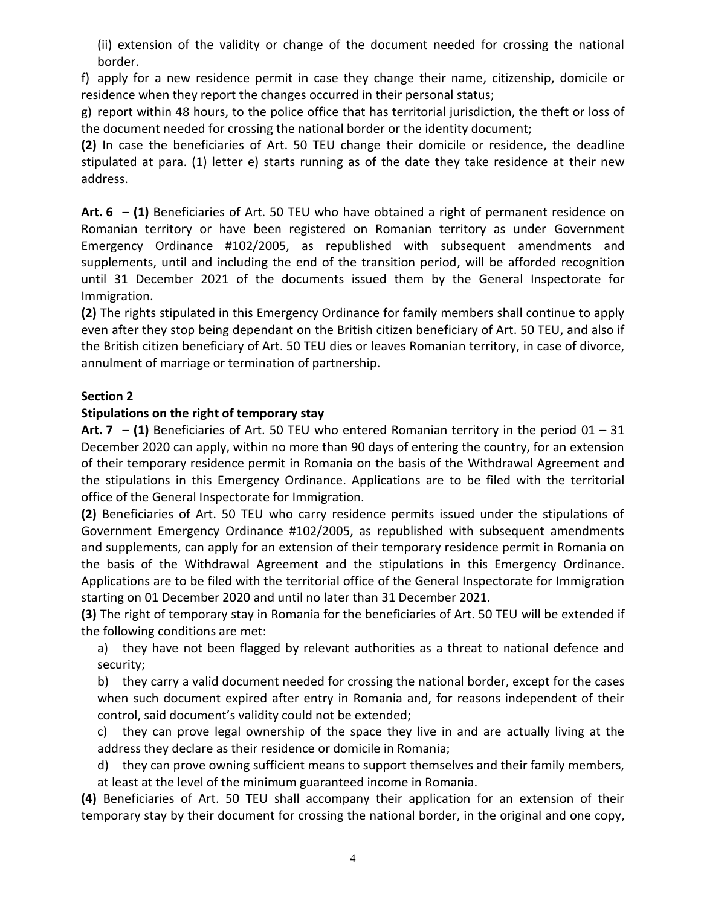(ii) extension of the validity or change of the document needed for crossing the national border.

f) apply for a new residence permit in case they change their name, citizenship, domicile or residence when they report the changes occurred in their personal status;

g) report within 48 hours, to the police office that has territorial jurisdiction, the theft or loss of the document needed for crossing the national border or the identity document;

**(2)** In case the beneficiaries of Art. 50 TEU change their domicile or residence, the deadline stipulated at para. (1) letter e) starts running as of the date they take residence at their new address.

**Art. 6** – **(1)** Beneficiaries of Art. 50 TEU who have obtained a right of permanent residence on Romanian territory or have been registered on Romanian territory as under Government Emergency Ordinance #102/2005, as republished with subsequent amendments and supplements, until and including the end of the transition period, will be afforded recognition until 31 December 2021 of the documents issued them by the General Inspectorate for Immigration.

**(2)** The rights stipulated in this Emergency Ordinance for family members shall continue to apply even after they stop being dependant on the British citizen beneficiary of Art. 50 TEU, and also if the British citizen beneficiary of Art. 50 TEU dies or leaves Romanian territory, in case of divorce, annulment of marriage or termination of partnership.

# **Section 2**

### **Stipulations on the right of temporary stay**

**Art. 7** – **(1)** Beneficiaries of Art. 50 TEU who entered Romanian territory in the period 01 – 31 December 2020 can apply, within no more than 90 days of entering the country, for an extension of their temporary residence permit in Romania on the basis of the Withdrawal Agreement and the stipulations in this Emergency Ordinance. Applications are to be filed with the territorial office of the General Inspectorate for Immigration.

**(2)** Beneficiaries of Art. 50 TEU who carry residence permits issued under the stipulations of Government Emergency Ordinance #102/2005, as republished with subsequent amendments and supplements, can apply for an extension of their temporary residence permit in Romania on the basis of the Withdrawal Agreement and the stipulations in this Emergency Ordinance. Applications are to be filed with the territorial office of the General Inspectorate for Immigration starting on 01 December 2020 and until no later than 31 December 2021.

**(3)** The right of temporary stay in Romania for the beneficiaries of Art. 50 TEU will be extended if the following conditions are met:

a) they have not been flagged by relevant authorities as a threat to national defence and security;

b) they carry a valid document needed for crossing the national border, except for the cases when such document expired after entry in Romania and, for reasons independent of their control, said document's validity could not be extended;

c) they can prove legal ownership of the space they live in and are actually living at the address they declare as their residence or domicile in Romania;

d) they can prove owning sufficient means to support themselves and their family members, at least at the level of the minimum guaranteed income in Romania.

**(4)** Beneficiaries of Art. 50 TEU shall accompany their application for an extension of their temporary stay by their document for crossing the national border, in the original and one copy,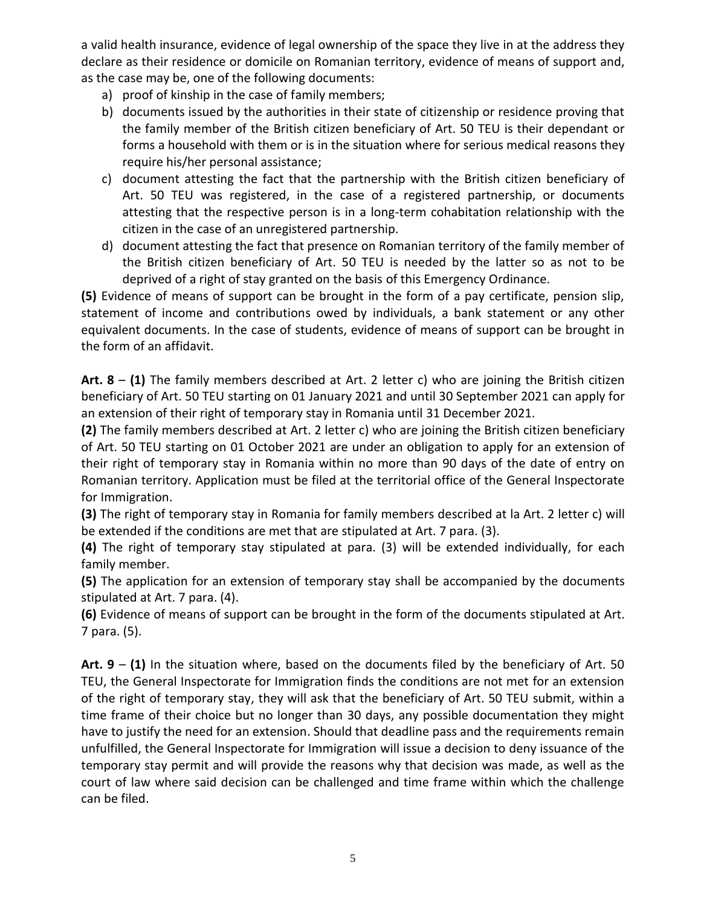a valid health insurance, evidence of legal ownership of the space they live in at the address they declare as their residence or domicile on Romanian territory, evidence of means of support and, as the case may be, one of the following documents:

- a) proof of kinship in the case of family members;
- b) documents issued by the authorities in their state of citizenship or residence proving that the family member of the British citizen beneficiary of Art. 50 TEU is their dependant or forms a household with them or is in the situation where for serious medical reasons they require his/her personal assistance;
- c) document attesting the fact that the partnership with the British citizen beneficiary of Art. 50 TEU was registered, in the case of a registered partnership, or documents attesting that the respective person is in a long-term cohabitation relationship with the citizen in the case of an unregistered partnership.
- d) document attesting the fact that presence on Romanian territory of the family member of the British citizen beneficiary of Art. 50 TEU is needed by the latter so as not to be deprived of a right of stay granted on the basis of this Emergency Ordinance.

**(5)** Evidence of means of support can be brought in the form of a pay certificate, pension slip, statement of income and contributions owed by individuals, a bank statement or any other equivalent documents. In the case of students, evidence of means of support can be brought in the form of an affidavit.

**Art. 8** – **(1)** The family members described at Art. 2 letter c) who are joining the British citizen beneficiary of Art. 50 TEU starting on 01 January 2021 and until 30 September 2021 can apply for an extension of their right of temporary stay in Romania until 31 December 2021.

**(2)** The family members described at Art. 2 letter c) who are joining the British citizen beneficiary of Art. 50 TEU starting on 01 October 2021 are under an obligation to apply for an extension of their right of temporary stay in Romania within no more than 90 days of the date of entry on Romanian territory. Application must be filed at the territorial office of the General Inspectorate for Immigration.

**(3)** The right of temporary stay in Romania for family members described at la Art. 2 letter c) will be extended if the conditions are met that are stipulated at Art. 7 para. (3).

**(4)** The right of temporary stay stipulated at para. (3) will be extended individually, for each family member.

**(5)** The application for an extension of temporary stay shall be accompanied by the documents stipulated at Art. 7 para. (4).

**(6)** Evidence of means of support can be brought in the form of the documents stipulated at Art. 7 para. (5).

**Art. 9** – **(1)** In the situation where, based on the documents filed by the beneficiary of Art. 50 TEU, the General Inspectorate for Immigration finds the conditions are not met for an extension of the right of temporary stay, they will ask that the beneficiary of Art. 50 TEU submit, within a time frame of their choice but no longer than 30 days, any possible documentation they might have to justify the need for an extension. Should that deadline pass and the requirements remain unfulfilled, the General Inspectorate for Immigration will issue a decision to deny issuance of the temporary stay permit and will provide the reasons why that decision was made, as well as the court of law where said decision can be challenged and time frame within which the challenge can be filed.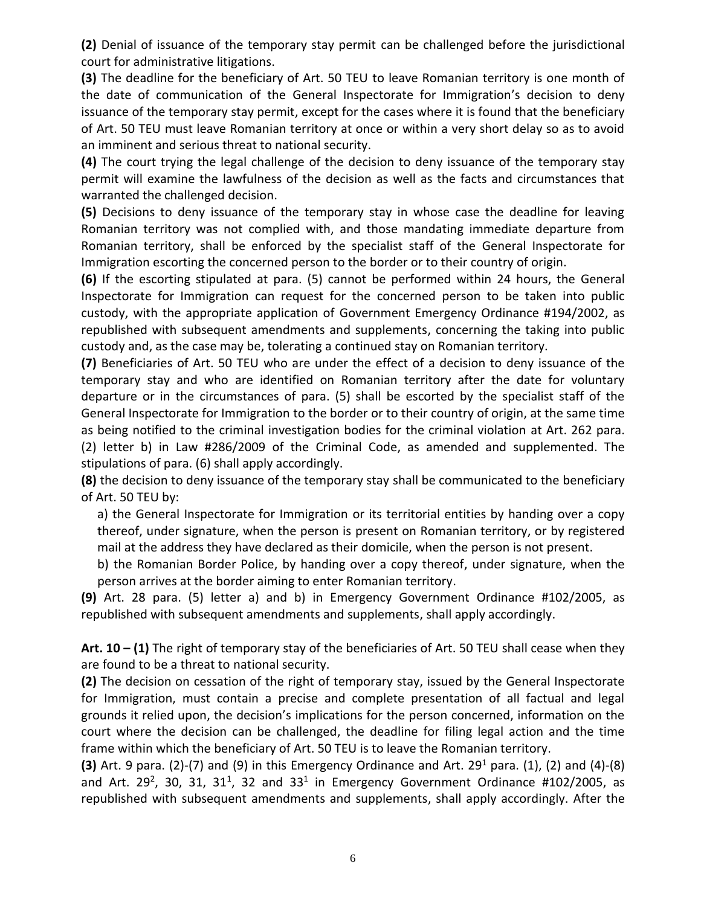**(2)** Denial of issuance of the temporary stay permit can be challenged before the jurisdictional court for administrative litigations.

**(3)** The deadline for the beneficiary of Art. 50 TEU to leave Romanian territory is one month of the date of communication of the General Inspectorate for Immigration's decision to deny issuance of the temporary stay permit, except for the cases where it is found that the beneficiary of Art. 50 TEU must leave Romanian territory at once or within a very short delay so as to avoid an imminent and serious threat to national security.

**(4)** The court trying the legal challenge of the decision to deny issuance of the temporary stay permit will examine the lawfulness of the decision as well as the facts and circumstances that warranted the challenged decision.

**(5)** Decisions to deny issuance of the temporary stay in whose case the deadline for leaving Romanian territory was not complied with, and those mandating immediate departure from Romanian territory, shall be enforced by the specialist staff of the General Inspectorate for Immigration escorting the concerned person to the border or to their country of origin.

**(6)** If the escorting stipulated at para. (5) cannot be performed within 24 hours, the General Inspectorate for Immigration can request for the concerned person to be taken into public custody, with the appropriate application of Government Emergency Ordinance #194/2002, as republished with subsequent amendments and supplements, concerning the taking into public custody and, as the case may be, tolerating a continued stay on Romanian territory.

**(7)** Beneficiaries of Art. 50 TEU who are under the effect of a decision to deny issuance of the temporary stay and who are identified on Romanian territory after the date for voluntary departure or in the circumstances of para. (5) shall be escorted by the specialist staff of the General Inspectorate for Immigration to the border or to their country of origin, at the same time as being notified to the criminal investigation bodies for the criminal violation at Art. 262 para. (2) letter b) in Law #286/2009 of the Criminal Code, as amended and supplemented. The stipulations of para. (6) shall apply accordingly.

**(8)** the decision to deny issuance of the temporary stay shall be communicated to the beneficiary of Art. 50 TEU by:

a) the General Inspectorate for Immigration or its territorial entities by handing over a copy thereof, under signature, when the person is present on Romanian territory, or by registered mail at the address they have declared as their domicile, when the person is not present.

b) the Romanian Border Police, by handing over a copy thereof, under signature, when the person arrives at the border aiming to enter Romanian territory.

**(9)** Art. 28 para. (5) letter a) and b) in Emergency Government Ordinance #102/2005, as republished with subsequent amendments and supplements, shall apply accordingly.

**Art. 10 – (1)** The right of temporary stay of the beneficiaries of Art. 50 TEU shall cease when they are found to be a threat to national security.

**(2)** The decision on cessation of the right of temporary stay, issued by the General Inspectorate for Immigration, must contain a precise and complete presentation of all factual and legal grounds it relied upon, the decision's implications for the person concerned, information on the court where the decision can be challenged, the deadline for filing legal action and the time frame within which the beneficiary of Art. 50 TEU is to leave the Romanian territory.

**(3)** Art. 9 para. (2)-(7) and (9) in this Emergency Ordinance and Art. 29<sup>1</sup> para. (1), (2) and (4)-(8) and Art. 29<sup>2</sup>, 30, 31, 31<sup>1</sup>, 32 and 33<sup>1</sup> in Emergency Government Ordinance #102/2005, as republished with subsequent amendments and supplements, shall apply accordingly. After the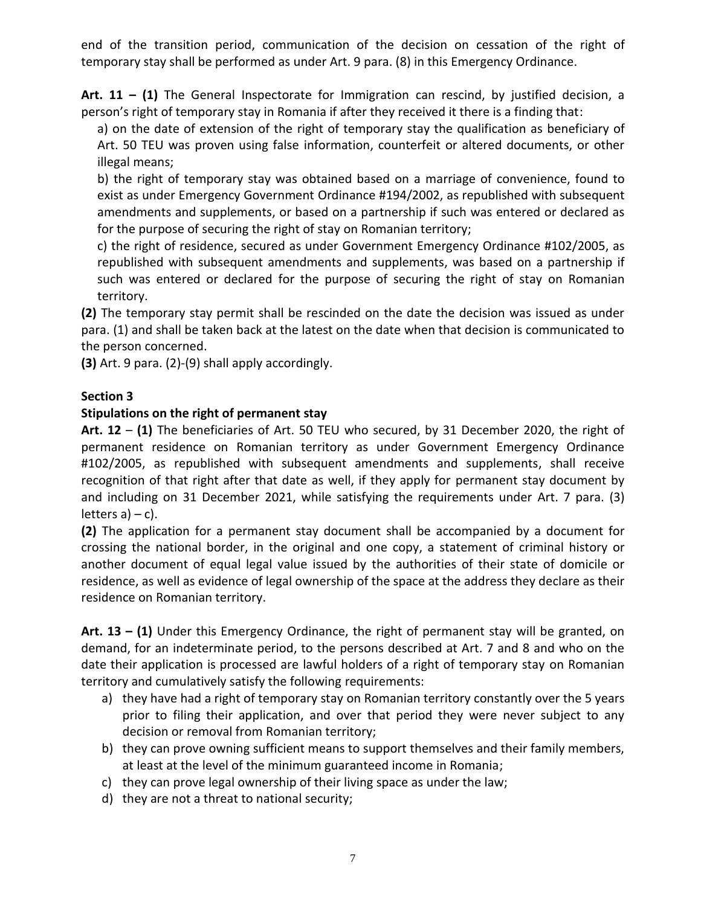end of the transition period, communication of the decision on cessation of the right of temporary stay shall be performed as under Art. 9 para. (8) in this Emergency Ordinance.

**Art. 11 – (1)** The General Inspectorate for Immigration can rescind, by justified decision, a person's right of temporary stay in Romania if after they received it there is a finding that:

a) on the date of extension of the right of temporary stay the qualification as beneficiary of Art. 50 TEU was proven using false information, counterfeit or altered documents, or other illegal means;

b) the right of temporary stay was obtained based on a marriage of convenience, found to exist as under Emergency Government Ordinance #194/2002, as republished with subsequent amendments and supplements, or based on a partnership if such was entered or declared as for the purpose of securing the right of stay on Romanian territory;

c) the right of residence, secured as under Government Emergency Ordinance #102/2005, as republished with subsequent amendments and supplements, was based on a partnership if such was entered or declared for the purpose of securing the right of stay on Romanian territory.

**(2)** The temporary stay permit shall be rescinded on the date the decision was issued as under para. (1) and shall be taken back at the latest on the date when that decision is communicated to the person concerned.

**(3)** Art. 9 para. (2)-(9) shall apply accordingly.

#### **Section 3**

#### **Stipulations on the right of permanent stay**

**Art. 12** – **(1)** The beneficiaries of Art. 50 TEU who secured, by 31 December 2020, the right of permanent residence on Romanian territory as under Government Emergency Ordinance #102/2005, as republished with subsequent amendments and supplements, shall receive recognition of that right after that date as well, if they apply for permanent stay document by and including on 31 December 2021, while satisfying the requirements under Art. 7 para. (3) letters  $a$ ) – c).

**(2)** The application for a permanent stay document shall be accompanied by a document for crossing the national border, in the original and one copy, a statement of criminal history or another document of equal legal value issued by the authorities of their state of domicile or residence, as well as evidence of legal ownership of the space at the address they declare as their residence on Romanian territory.

**Art. 13 – (1)** Under this Emergency Ordinance, the right of permanent stay will be granted, on demand, for an indeterminate period, to the persons described at Art. 7 and 8 and who on the date their application is processed are lawful holders of a right of temporary stay on Romanian territory and cumulatively satisfy the following requirements:

- a) they have had a right of temporary stay on Romanian territory constantly over the 5 years prior to filing their application, and over that period they were never subject to any decision or removal from Romanian territory;
- b) they can prove owning sufficient means to support themselves and their family members, at least at the level of the minimum guaranteed income in Romania;
- c) they can prove legal ownership of their living space as under the law;
- d) they are not a threat to national security;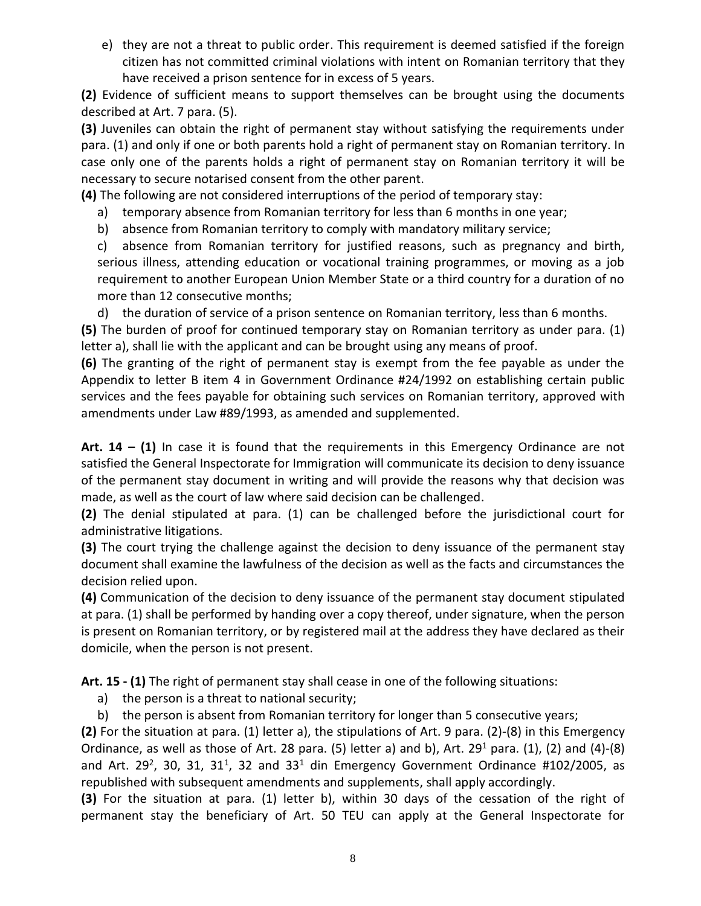e) they are not a threat to public order. This requirement is deemed satisfied if the foreign citizen has not committed criminal violations with intent on Romanian territory that they have received a prison sentence for in excess of 5 years.

**(2)** Evidence of sufficient means to support themselves can be brought using the documents described at Art. 7 para. (5).

**(3)** Juveniles can obtain the right of permanent stay without satisfying the requirements under para. (1) and only if one or both parents hold a right of permanent stay on Romanian territory. In case only one of the parents holds a right of permanent stay on Romanian territory it will be necessary to secure notarised consent from the other parent.

**(4)** The following are not considered interruptions of the period of temporary stay:

- a) temporary absence from Romanian territory for less than 6 months in one year;
- b) absence from Romanian territory to comply with mandatory military service;

c) absence from Romanian territory for justified reasons, such as pregnancy and birth, serious illness, attending education or vocational training programmes, or moving as a job requirement to another European Union Member State or a third country for a duration of no more than 12 consecutive months;

d) the duration of service of a prison sentence on Romanian territory, less than 6 months.

**(5)** The burden of proof for continued temporary stay on Romanian territory as under para. (1) letter a), shall lie with the applicant and can be brought using any means of proof.

**(6)** The granting of the right of permanent stay is exempt from the fee payable as under the Appendix to letter B item 4 in Government Ordinance #24/1992 on establishing certain public services and the fees payable for obtaining such services on Romanian territory, approved with amendments under Law #89/1993, as amended and supplemented.

**Art. 14 – (1)** In case it is found that the requirements in this Emergency Ordinance are not satisfied the General Inspectorate for Immigration will communicate its decision to deny issuance of the permanent stay document in writing and will provide the reasons why that decision was made, as well as the court of law where said decision can be challenged.

**(2)** The denial stipulated at para. (1) can be challenged before the jurisdictional court for administrative litigations.

**(3)** The court trying the challenge against the decision to deny issuance of the permanent stay document shall examine the lawfulness of the decision as well as the facts and circumstances the decision relied upon.

**(4)** Communication of the decision to deny issuance of the permanent stay document stipulated at para. (1) shall be performed by handing over a copy thereof, under signature, when the person is present on Romanian territory, or by registered mail at the address they have declared as their domicile, when the person is not present.

**Art. 15 - (1)** The right of permanent stay shall cease in one of the following situations:

- a) the person is a threat to national security;
- b) the person is absent from Romanian territory for longer than 5 consecutive years;

**(2)** For the situation at para. (1) letter a), the stipulations of Art. 9 para. (2)-(8) in this Emergency Ordinance, as well as those of Art. 28 para. (5) letter a) and b), Art. 29<sup>1</sup> para. (1), (2) and (4)-(8) and Art. 29<sup>2</sup>, 30, 31, 31<sup>1</sup>, 32 and 33<sup>1</sup> din Emergency Government Ordinance #102/2005, as republished with subsequent amendments and supplements, shall apply accordingly.

**(3)** For the situation at para. (1) letter b), within 30 days of the cessation of the right of permanent stay the beneficiary of Art. 50 TEU can apply at the General Inspectorate for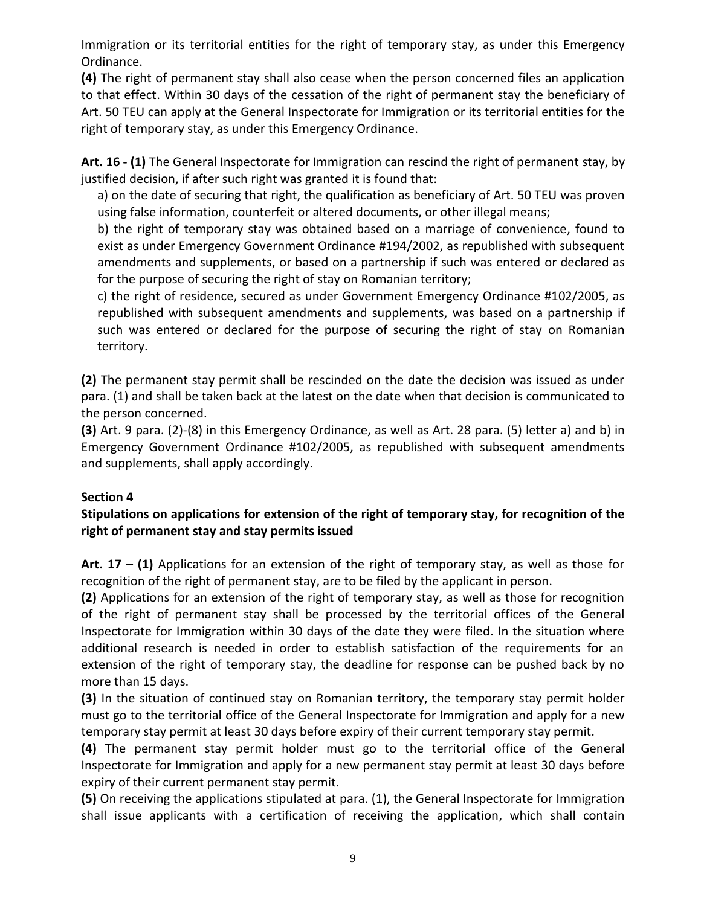Immigration or its territorial entities for the right of temporary stay, as under this Emergency Ordinance.

**(4)** The right of permanent stay shall also cease when the person concerned files an application to that effect. Within 30 days of the cessation of the right of permanent stay the beneficiary of Art. 50 TEU can apply at the General Inspectorate for Immigration or its territorial entities for the right of temporary stay, as under this Emergency Ordinance.

**Art. 16 - (1)** The General Inspectorate for Immigration can rescind the right of permanent stay, by justified decision, if after such right was granted it is found that:

a) on the date of securing that right, the qualification as beneficiary of Art. 50 TEU was proven using false information, counterfeit or altered documents, or other illegal means;

b) the right of temporary stay was obtained based on a marriage of convenience, found to exist as under Emergency Government Ordinance #194/2002, as republished with subsequent amendments and supplements, or based on a partnership if such was entered or declared as for the purpose of securing the right of stay on Romanian territory;

c) the right of residence, secured as under Government Emergency Ordinance #102/2005, as republished with subsequent amendments and supplements, was based on a partnership if such was entered or declared for the purpose of securing the right of stay on Romanian territory.

**(2)** The permanent stay permit shall be rescinded on the date the decision was issued as under para. (1) and shall be taken back at the latest on the date when that decision is communicated to the person concerned.

**(3)** Art. 9 para. (2)-(8) in this Emergency Ordinance, as well as Art. 28 para. (5) letter a) and b) in Emergency Government Ordinance #102/2005, as republished with subsequent amendments and supplements, shall apply accordingly.

### **Section 4**

# **Stipulations on applications for extension of the right of temporary stay, for recognition of the right of permanent stay and stay permits issued**

**Art. 17** – **(1)** Applications for an extension of the right of temporary stay, as well as those for recognition of the right of permanent stay, are to be filed by the applicant in person.

**(2)** Applications for an extension of the right of temporary stay, as well as those for recognition of the right of permanent stay shall be processed by the territorial offices of the General Inspectorate for Immigration within 30 days of the date they were filed. In the situation where additional research is needed in order to establish satisfaction of the requirements for an extension of the right of temporary stay, the deadline for response can be pushed back by no more than 15 days.

**(3)** In the situation of continued stay on Romanian territory, the temporary stay permit holder must go to the territorial office of the General Inspectorate for Immigration and apply for a new temporary stay permit at least 30 days before expiry of their current temporary stay permit.

**(4)** The permanent stay permit holder must go to the territorial office of the General Inspectorate for Immigration and apply for a new permanent stay permit at least 30 days before expiry of their current permanent stay permit.

**(5)** On receiving the applications stipulated at para. (1), the General Inspectorate for Immigration shall issue applicants with a certification of receiving the application, which shall contain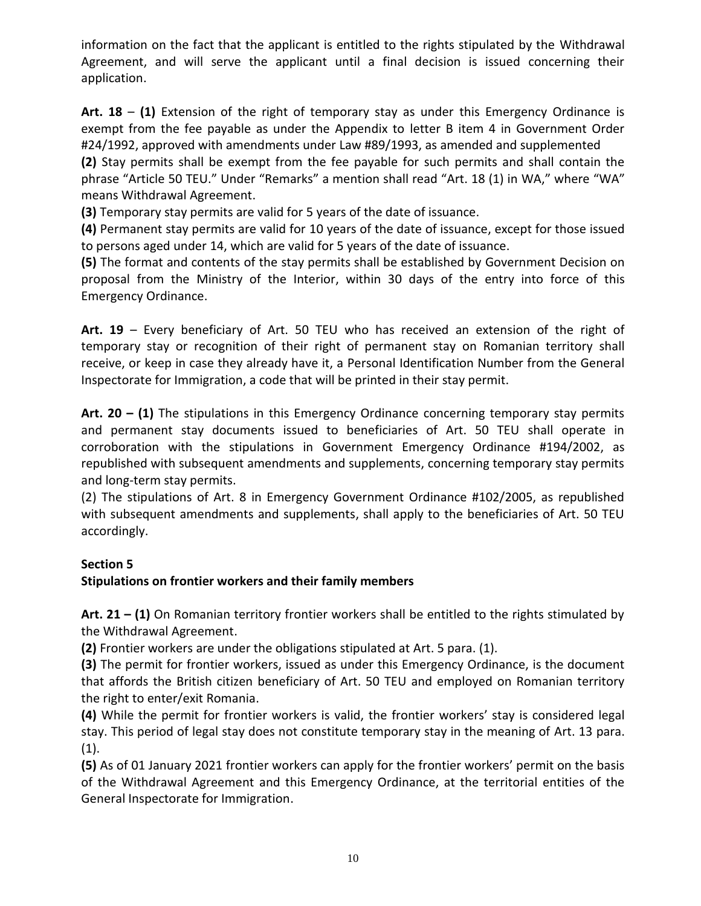information on the fact that the applicant is entitled to the rights stipulated by the Withdrawal Agreement, and will serve the applicant until a final decision is issued concerning their application.

**Art. 18** – **(1)** Extension of the right of temporary stay as under this Emergency Ordinance is exempt from the fee payable as under the Appendix to letter B item 4 in Government Order #24/1992, approved with amendments under Law #89/1993, as amended and supplemented

**(2)** Stay permits shall be exempt from the fee payable for such permits and shall contain the phrase "Article 50 TEU." Under "Remarks" a mention shall read "Art. 18 (1) in WA," where "WA" means Withdrawal Agreement.

**(3)** Temporary stay permits are valid for 5 years of the date of issuance.

**(4)** Permanent stay permits are valid for 10 years of the date of issuance, except for those issued to persons aged under 14, which are valid for 5 years of the date of issuance.

**(5)** The format and contents of the stay permits shall be established by Government Decision on proposal from the Ministry of the Interior, within 30 days of the entry into force of this Emergency Ordinance.

**Art. 19** – Every beneficiary of Art. 50 TEU who has received an extension of the right of temporary stay or recognition of their right of permanent stay on Romanian territory shall receive, or keep in case they already have it, a Personal Identification Number from the General Inspectorate for Immigration, a code that will be printed in their stay permit.

**Art. 20 – (1)** The stipulations in this Emergency Ordinance concerning temporary stay permits and permanent stay documents issued to beneficiaries of Art. 50 TEU shall operate in corroboration with the stipulations in Government Emergency Ordinance #194/2002, as republished with subsequent amendments and supplements, concerning temporary stay permits and long-term stay permits.

(2) The stipulations of Art. 8 in Emergency Government Ordinance #102/2005, as republished with subsequent amendments and supplements, shall apply to the beneficiaries of Art. 50 TEU accordingly.

# **Section 5**

### **Stipulations on frontier workers and their family members**

**Art. 21 – (1)** On Romanian territory frontier workers shall be entitled to the rights stimulated by the Withdrawal Agreement.

**(2)** Frontier workers are under the obligations stipulated at Art. 5 para. (1).

**(3)** The permit for frontier workers, issued as under this Emergency Ordinance, is the document that affords the British citizen beneficiary of Art. 50 TEU and employed on Romanian territory the right to enter/exit Romania.

**(4)** While the permit for frontier workers is valid, the frontier workers' stay is considered legal stay. This period of legal stay does not constitute temporary stay in the meaning of Art. 13 para.  $(1).$ 

**(5)** As of 01 January 2021 frontier workers can apply for the frontier workers' permit on the basis of the Withdrawal Agreement and this Emergency Ordinance, at the territorial entities of the General Inspectorate for Immigration.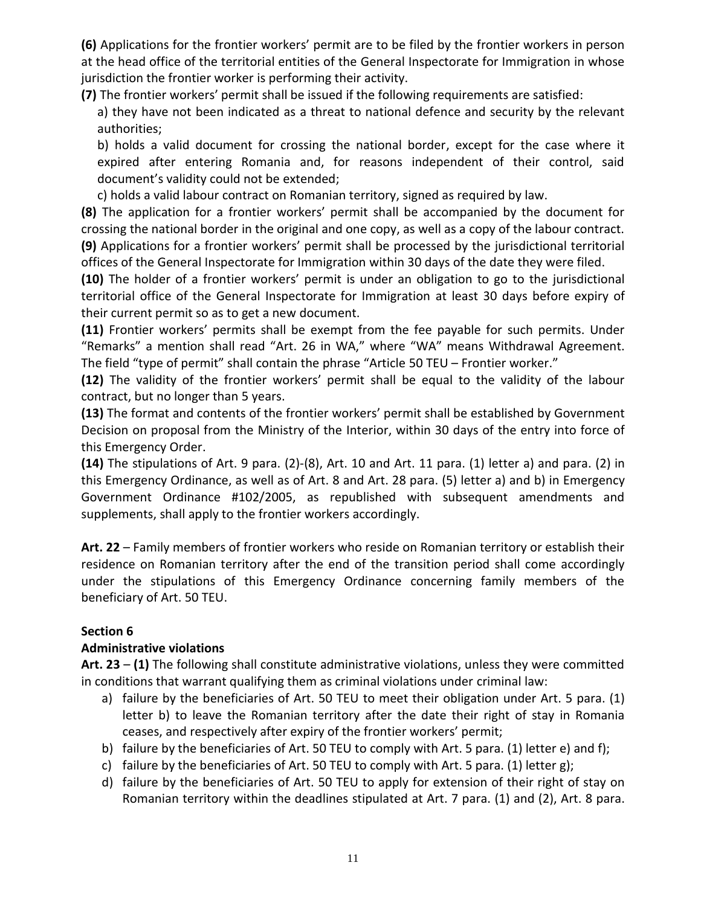**(6)** Applications for the frontier workers' permit are to be filed by the frontier workers in person at the head office of the territorial entities of the General Inspectorate for Immigration in whose jurisdiction the frontier worker is performing their activity.

**(7)** The frontier workers' permit shall be issued if the following requirements are satisfied:

a) they have not been indicated as a threat to national defence and security by the relevant authorities;

b) holds a valid document for crossing the national border, except for the case where it expired after entering Romania and, for reasons independent of their control, said document's validity could not be extended;

c) holds a valid labour contract on Romanian territory, signed as required by law.

**(8)** The application for a frontier workers' permit shall be accompanied by the document for crossing the national border in the original and one copy, as well as a copy of the labour contract. **(9)** Applications for a frontier workers' permit shall be processed by the jurisdictional territorial offices of the General Inspectorate for Immigration within 30 days of the date they were filed.

**(10)** The holder of a frontier workers' permit is under an obligation to go to the jurisdictional territorial office of the General Inspectorate for Immigration at least 30 days before expiry of their current permit so as to get a new document.

**(11)** Frontier workers' permits shall be exempt from the fee payable for such permits. Under "Remarks" a mention shall read "Art. 26 in WA," where "WA" means Withdrawal Agreement. The field "type of permit" shall contain the phrase "Article 50 TEU – Frontier worker."

**(12)** The validity of the frontier workers' permit shall be equal to the validity of the labour contract, but no longer than 5 years.

**(13)** The format and contents of the frontier workers' permit shall be established by Government Decision on proposal from the Ministry of the Interior, within 30 days of the entry into force of this Emergency Order.

**(14)** The stipulations of Art. 9 para. (2)-(8), Art. 10 and Art. 11 para. (1) letter a) and para. (2) in this Emergency Ordinance, as well as of Art. 8 and Art. 28 para. (5) letter a) and b) in Emergency Government Ordinance #102/2005, as republished with subsequent amendments and supplements, shall apply to the frontier workers accordingly.

**Art. 22** – Family members of frontier workers who reside on Romanian territory or establish their residence on Romanian territory after the end of the transition period shall come accordingly under the stipulations of this Emergency Ordinance concerning family members of the beneficiary of Art. 50 TEU.

# **Section 6**

### **Administrative violations**

**Art. 23** – **(1)** The following shall constitute administrative violations, unless they were committed in conditions that warrant qualifying them as criminal violations under criminal law:

- a) failure by the beneficiaries of Art. 50 TEU to meet their obligation under Art. 5 para. (1) letter b) to leave the Romanian territory after the date their right of stay in Romania ceases, and respectively after expiry of the frontier workers' permit;
- b) failure by the beneficiaries of Art. 50 TEU to comply with Art. 5 para. (1) letter e) and f);
- c) failure by the beneficiaries of Art. 50 TEU to comply with Art. 5 para. (1) letter g);
- d) failure by the beneficiaries of Art. 50 TEU to apply for extension of their right of stay on Romanian territory within the deadlines stipulated at Art. 7 para. (1) and (2), Art. 8 para.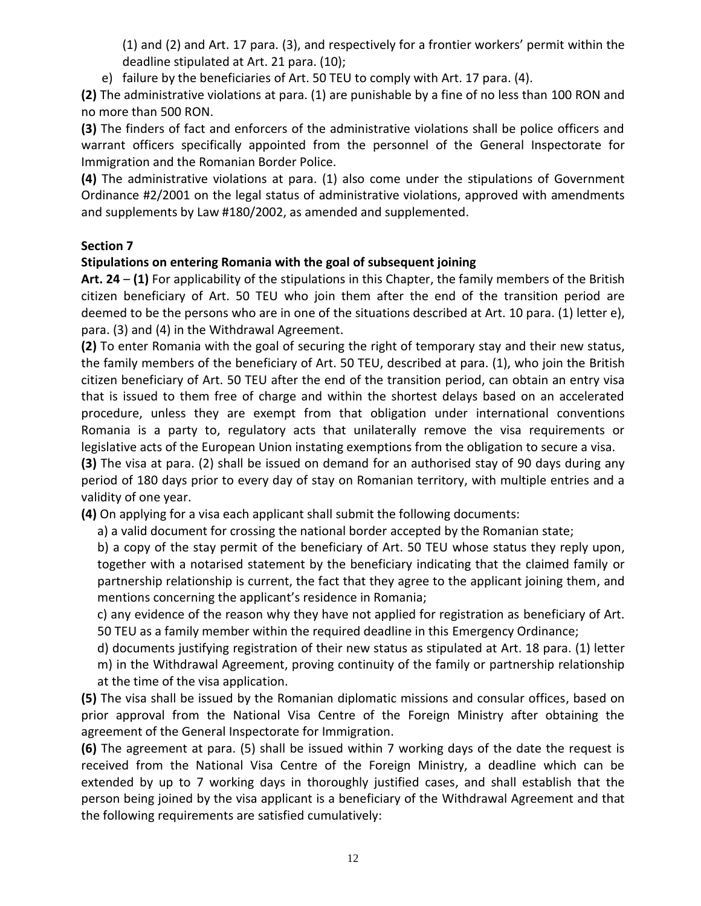(1) and (2) and Art. 17 para. (3), and respectively for a frontier workers' permit within the deadline stipulated at Art. 21 para. (10);

e) failure by the beneficiaries of Art. 50 TEU to comply with Art. 17 para. (4).

**(2)** The administrative violations at para. (1) are punishable by a fine of no less than 100 RON and no more than 500 RON.

**(3)** The finders of fact and enforcers of the administrative violations shall be police officers and warrant officers specifically appointed from the personnel of the General Inspectorate for Immigration and the Romanian Border Police.

**(4)** The administrative violations at para. (1) also come under the stipulations of Government Ordinance #2/2001 on the legal status of administrative violations, approved with amendments and supplements by Law #180/2002, as amended and supplemented.

### **Section 7**

### **Stipulations on entering Romania with the goal of subsequent joining**

**Art. 24** – **(1)** For applicability of the stipulations in this Chapter, the family members of the British citizen beneficiary of Art. 50 TEU who join them after the end of the transition period are deemed to be the persons who are in one of the situations described at Art. 10 para. (1) letter e), para. (3) and (4) in the Withdrawal Agreement.

**(2)** To enter Romania with the goal of securing the right of temporary stay and their new status, the family members of the beneficiary of Art. 50 TEU, described at para. (1), who join the British citizen beneficiary of Art. 50 TEU after the end of the transition period, can obtain an entry visa that is issued to them free of charge and within the shortest delays based on an accelerated procedure, unless they are exempt from that obligation under international conventions Romania is a party to, regulatory acts that unilaterally remove the visa requirements or legislative acts of the European Union instating exemptions from the obligation to secure a visa.

**(3)** The visa at para. (2) shall be issued on demand for an authorised stay of 90 days during any period of 180 days prior to every day of stay on Romanian territory, with multiple entries and a validity of one year.

**(4)** On applying for a visa each applicant shall submit the following documents:

a) a valid document for crossing the national border accepted by the Romanian state;

b) a copy of the stay permit of the beneficiary of Art. 50 TEU whose status they reply upon, together with a notarised statement by the beneficiary indicating that the claimed family or partnership relationship is current, the fact that they agree to the applicant joining them, and mentions concerning the applicant's residence in Romania;

c) any evidence of the reason why they have not applied for registration as beneficiary of Art. 50 TEU as a family member within the required deadline in this Emergency Ordinance;

d) documents justifying registration of their new status as stipulated at Art. 18 para. (1) letter

m) in the Withdrawal Agreement, proving continuity of the family or partnership relationship at the time of the visa application.

**(5)** The visa shall be issued by the Romanian diplomatic missions and consular offices, based on prior approval from the National Visa Centre of the Foreign Ministry after obtaining the agreement of the General Inspectorate for Immigration.

**(6)** The agreement at para. (5) shall be issued within 7 working days of the date the request is received from the National Visa Centre of the Foreign Ministry, a deadline which can be extended by up to 7 working days in thoroughly justified cases, and shall establish that the person being joined by the visa applicant is a beneficiary of the Withdrawal Agreement and that the following requirements are satisfied cumulatively: